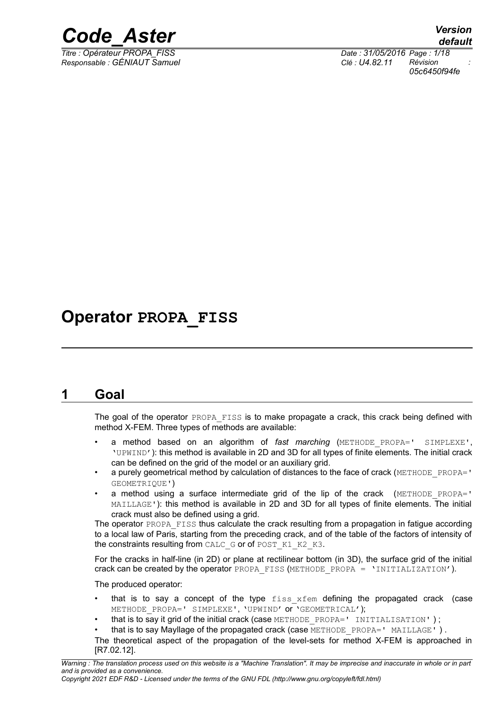

*Responsable : GÉNIAUT Samuel Clé : U4.82.11 Révision :*

*Titre : Opérateur PROPA\_FISS Date : 31/05/2016 Page : 1/18 05c6450f94fe*

## **Operator PROPA\_FISS**

## **1 Goal**

The goal of the operator PROPA FISS is to make propagate a crack, this crack being defined with method X-FEM. Three types of methods are available:

- a method based on an algorithm of *fast marching* (METHODE\_PROPA=' SIMPLEXE', 'UPWIND'): this method is available in 2D and 3D for all types of finite elements. The initial crack can be defined on the grid of the model or an auxiliary grid.
- a purely geometrical method by calculation of distances to the face of crack (METHODE\_PROPA=' GEOMETRIQUE')
- a method using a surface intermediate grid of the lip of the crack  $(METHODE PROPA=')$ MAILLAGE'): this method is available in 2D and 3D for all types of finite elements. The initial crack must also be defined using a grid.

The operator PROPA FISS thus calculate the crack resulting from a propagation in fatigue according to a local law of Paris, starting from the preceding crack, and of the table of the factors of intensity of the constraints resulting from CALC\_G or of POST\_K1\_K2\_K3.

For the cracks in half-line (in 2D) or plane at rectilinear bottom (in 3D), the surface grid of the initial crack can be created by the operator PROPA\_FISS (METHODE\_PROPA = 'INITIALIZATION').

The produced operator:

- that is to say a concept of the type  $f$  iss  $x$  fem defining the propagated crack (case METHODE PROPA=' SIMPLEXE', 'UPWIND' OT 'GEOMETRICAL');
- that is to say it grid of the initial crack (case METHODE PROPA=' INITIALISATION');

that is to say Mayllage of the propagated crack (case METHODE PROPA=' MAILLAGE').

The theoretical aspect of the propagation of the level-sets for method X-FEM is approached in [R7.02.12].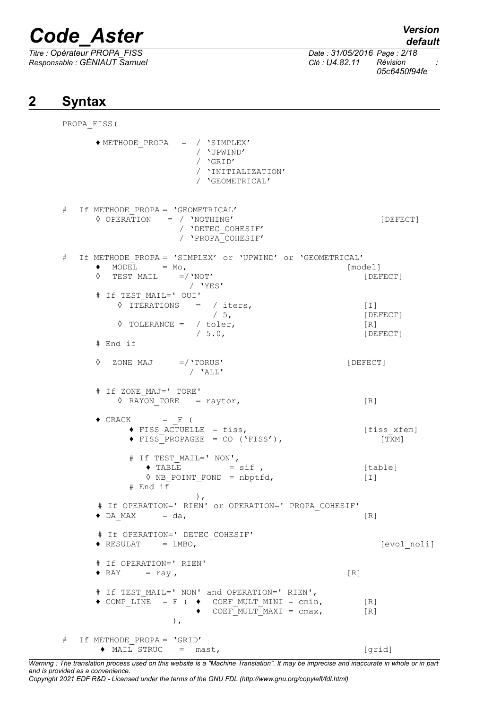*Titre : Opérateur PROPA\_FISS Date : 31/05/2016 Page : 2/18 Responsable : GÉNIAUT Samuel Clé : U4.82.11 Révision :*

*05c6450f94fe*

## **2 Syntax**

PROPA\_FISS( ♦ METHODE\_PROPA = / 'SIMPLEX' / 'UPWIND' / 'GRID' / 'INITIALIZATION' / 'GEOMETRICAL' # If METHODE\_PROPA = 'GEOMETRICAL' ◊ OPERATION = / 'NOTHING' [DEFECT] / 'DETEC\_COHESIF' / 'PROPA\_COHESIF' # If METHODE\_PROPA = 'SIMPLEX' or 'UPWIND' or 'GEOMETRICAL'  $\bullet$  MODEL = Mo,  $[\text{model}]$ ◊ TEST\_MAIL =/'NOT' [DEFECT] / 'YES' # If TEST\_MAIL=' OUI'  $\sqrt[3]{\text{IFERATIONS}} = / \text{iters},$  [I]<br>  $/ 5,$  [DE [DEFECT] ◊ TOLERANCE = / toler, [R] [DEFECT] # End if ◊ ZONE\_MAJ =/'TORUS' [DEFECT] / 'ALL' # If ZONE\_MAJ=' TORE'  $\sqrt[6]{}$  RAYON TORE = raytor, [R]  $\triangle$  CRACK = F (  $\triangle$  FISS ACTUELLE = fiss,  $[f$ iss xfem]  $\triangle$  FISS PROPAGEE = CO ('FISS'), [TXM] # If TEST\_MAIL=' NON',  $\bullet$  TABLE  $=$  sif , [table] ◊ NB\_POINT\_FOND = nbptfd, [I] # End  $i\bar{f}$ ), # If OPERATION=' RIEN' or OPERATION=' PROPA\_COHESIF'  $\bullet$  DA\_MAX = da, [R] # If OPERATION=' DETEC\_COHESIF' ♦ RESULAT = LMBO, [evol\_noli] # If OPERATION=' RIEN'  $\triangleleft$  RAY = ray,  $[R]$ # If TEST\_MAIL=' NON' and OPERATION=' RIEN',  $\triangleleft$  COMP LINE = F (  $\triangleleft$  COEF MULT MINI = cmin, [R]  $\bullet$  COEF MULT MAXI = cmax, [R] ), # If METHODE\_PROPA = 'GRID' ◆ MAIL STRUC = mast, [grid]

*Warning : The translation process used on this website is a "Machine Translation". It may be imprecise and inaccurate in whole or in part and is provided as a convenience.*

*Copyright 2021 EDF R&D - Licensed under the terms of the GNU FDL (http://www.gnu.org/copyleft/fdl.html)*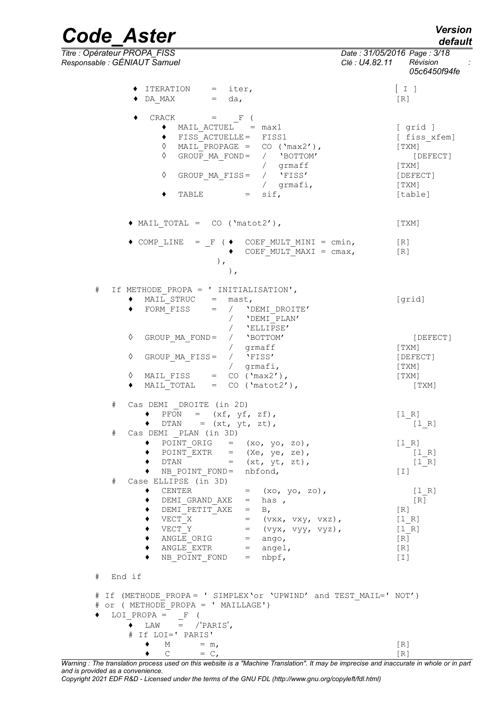*default*

*Code\_Aster Version*

*Titre : Opérateur PROPA\_FISS Date : 31/05/2016 Page : 3/18 Responsable : GÉNIAUT Samuel Clé : U4.82.11 Révision : 05c6450f94fe* **♦** ITERATION = iter, [ I ]  $\bullet$  DA\_MAX = da,  $[R]$  $\bullet$  CRACK =  $\qquad$  F ( ♦ MAIL\_ACTUEL = max1 [ grid ] ♦ FISS\_ACTUELLE= FISS1 [ fiss\_xfem]  $\Diamond$  MAIL\_PROPAGE = CO ('max2'), [TXM] ◊ GROUP\_MA\_FOND= / 'BOTTOM' [DEFECT] / grmaff [TXM] ◊ GROUP\_MA\_FISS= / 'FISS' [DEFECT] / grmafi, [TXM]  $\bullet$  TABLE = sif, [table]  $\blacklozenge$  MAIL TOTAL = CO ('matot2'), [TXM]  $\triangleleft$  COMP LINE = F ( $\triangleleft$  COEF MULT MINI = cmin, [R]  $\bullet$  COEF MULT MAXI = cmax, [R] ), ), # If METHODE\_PROPA = ' INITIALISATION',  $\triangleleft$  MAIL STRUC = mast,  $[\text{grid}]$ ♦ FORM\_FISS = / 'DEMI\_DROITE' / 'DEMI\_PLAN' / 'ELLIPSE' ◊ GROUP\_MA\_FOND= / 'BOTTOM' [DEFECT] / grmaff [TXM] ◊ GROUP\_MA\_FISS= / 'FISS' [DEFECT] / grmafi, [TXM]  $\Diamond$  MAIL FISS = CO ('max2'), [TXM]  $\blacklozenge$  MAIL\_TOTAL = CO ('matot2'), [TXM] # Cas DEMI \_DROITE (in 2D)  $\bullet$  PFON =  $(xf, yf, zf)$ , [l\_R]  $\bullet$  DTAN = (xt, yt, zt),  $\qquad \qquad \begin{array}{c} \n\bullet$  [1\_R] # Cas DEMI \_PLAN (in 3D)  $\begin{array}{lllll} \bullet & \overline{P}\overline{O}\ \overline{INT}\ \overline{O}\overline{R}I\ \bullet & \overline{P}\overline{O}\ \overline{INT}\ \underline{E}X\overline{R} & = & (\overline{X}e, ye, ze), & & & [1_R] \end{array}$  $\blacklozenge$  POINT\_EXTR = (Xe, ye, ze),  $[1_R]$  $\bullet$  DTAN = (xt, yt, zt),  $[1_R]$ ♦ NB\_POINT\_FOND= nbfond, [I] # Case ELLIPSE (in 3D)  $\bullet$  CENTER = (xo, yo, zo),  $[1_R]$ ◆ DEMI\_GRAND\_AXE = has ,  $[R]$ <br>◆ DEMI PETIT AXE = B,  $[R]$  $\blacklozenge$  DEMI PETIT AXE = B,  $[R]$  $\blacklozenge$  VECT\_X = (vxx, vxy, vxz),  $[1_R]$  $\blacklozenge$  VECT\_Y = (vyx, vyy, vyz),  $[1_R]$  $\bullet$  ANGLE ORIG = ango, [R]  $\blacklozenge$  ANGLE EXTR  $=$  angel,  $[R]$ ♦ NB\_POINT\_FOND = nbpf, [I] # End if # If (METHODE\_PROPA = ' SIMPLEX'or 'UPWIND' and TEST\_MAIL=' NOT') # or ( METHODE\_PROPA = ' MAILLAGE') ♦ LOI\_PROPA = \_F (  $\bullet$  LAW = /'PARIS', # If LOI=' PARIS'  $\blacklozenge$  M = m, [R]

 $\bullet$  C = C, [R]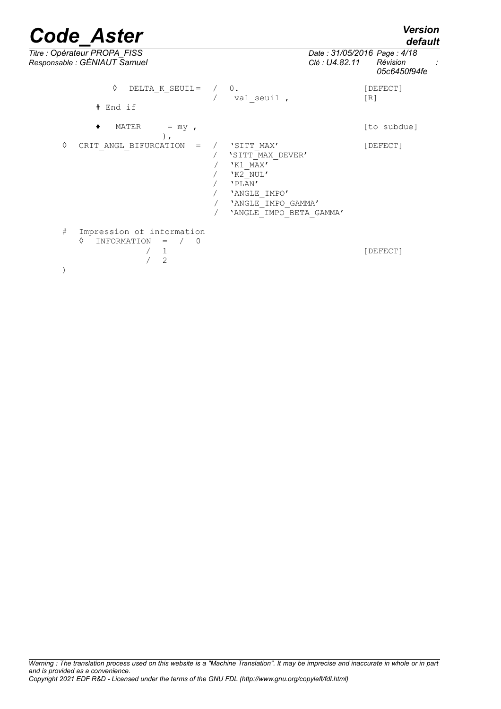*default*

| Titre : Opérateur PROPA_FISS<br>Responsable : GÉNIAUT Samuel                                             |                                                                                                                                   | Clé : U4.82.11 | Date: 31/05/2016 Page: 4/18<br>Révision<br>05c6450f94fe |
|----------------------------------------------------------------------------------------------------------|-----------------------------------------------------------------------------------------------------------------------------------|----------------|---------------------------------------------------------|
| ♦<br>DELTA K SEUIL=<br># End if                                                                          | $\overline{0}$ .<br>val seuil,                                                                                                    |                | [DEFECT]<br>[R]                                         |
| MATER<br>$=$ my,<br>$)$ ,                                                                                |                                                                                                                                   |                | [to subdue]                                             |
| ♦<br>CRIT ANGL BIFURCATION<br>$=$                                                                        | 'SITT MAX'<br>'SITT MAX DEVER'<br>'K1 MAX'<br>'K2 NUL'<br>'PLAN'<br>'ANGLE IMPO'<br>'ANGLE IMPO GAMMA'<br>'ANGLE IMPO BETA GAMMA' |                | [DEFECT]                                                |
| $\#$<br>Impression of information<br>♦<br>INFORMATION<br>$\,=\,$<br>$\frac{1}{2}$<br>$\overline{0}$<br>2 |                                                                                                                                   |                | [DEFECT]                                                |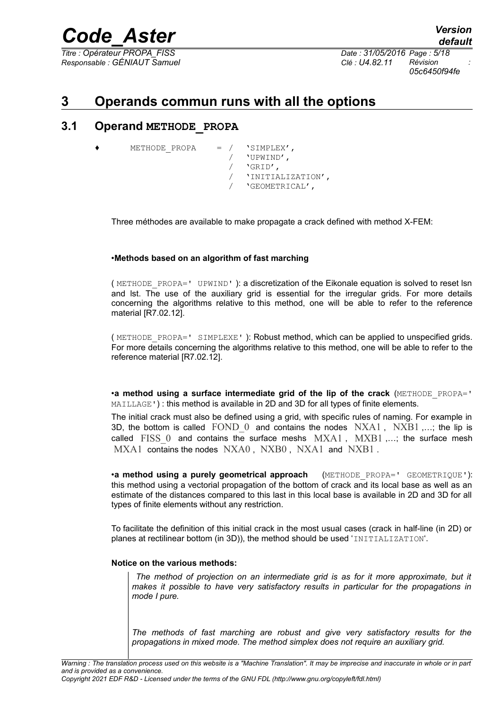*Titre : Opérateur PROPA\_FISS Date : 31/05/2016 Page : 5/18 Responsable : GÉNIAUT Samuel Clé : U4.82.11 Révision :*

*default*

*05c6450f94fe*

## **3 Operands commun runs with all the options**

#### **3.1 Operand METHODE\_PROPA**

```
METHODE PROPA = / 'SIMPLEX',
                   / 'UPWIND',
                   / 'GRID',
                       / 'INITIALIZATION',
                       / 'GEOMETRICAL',
```
Three méthodes are available to make propagate a crack defined with method X-FEM:

#### •**Methods based on an algorithm of fast marching**

( METHODE\_PROPA=' UPWIND' ): a discretization of the Eikonale equation is solved to reset lsn and lst. The use of the auxiliary grid is essential for the irregular grids. For more details concerning the algorithms relative to this method, one will be able to refer to the reference material [R7.02.12].

( METHODE\_PROPA=' SIMPLEXE' ): Robust method, which can be applied to unspecified grids. For more details concerning the algorithms relative to this method, one will be able to refer to the reference material IR7.02.121.

•**a method using a surface intermediate grid of the lip of the crack** (METHODE\_PROPA=' MAILLAGE') : this method is available in 2D and 3D for all types of finite elements.

The initial crack must also be defined using a grid, with specific rules of naming. For example in 3D, the bottom is called  $FOND$  0 and contains the nodes  $NXA1$ ,  $NXB1$  ,...; the lip is called FISS\_0 and contains the surface meshs MXA1, MXB1,...; the surface mesh MXA1 contains the nodes NXA0, NXB0, NXA1 and NXB1.

•**a method using a purely geometrical approach** (METHODE\_PROPA=' GEOMETRIQUE'): this method using a vectorial propagation of the bottom of crack and its local base as well as an estimate of the distances compared to this last in this local base is available in 2D and 3D for all types of finite elements without any restriction.

To facilitate the definition of this initial crack in the most usual cases (crack in half-line (in 2D) or planes at rectilinear bottom (in 3D)), the method should be used 'INITIALIZATION'.

#### **Notice on the various methods:**

 *The method of projection on an intermediate grid is as for it more approximate, but it makes it possible to have very satisfactory results in particular for the propagations in mode I pure.*

*The methods of fast marching are robust and give very satisfactory results for the propagations in mixed mode. The method simplex does not require an auxiliary grid.*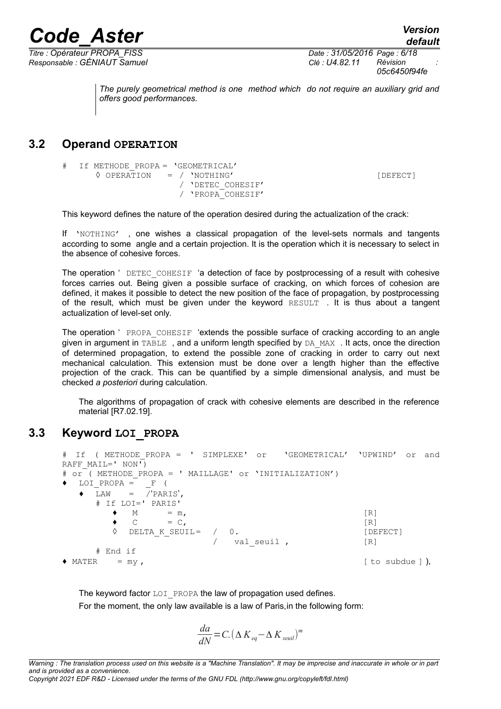*Titre : Opérateur PROPA\_FISS Date : 31/05/2016 Page : 6/18 Responsable : GÉNIAUT Samuel Clé : U4.82.11 Révision :*

*05c6450f94fe*

*default*

*The purely geometrical method is one method which do not require an auxiliary grid and offers good performances.*

### **3.2 Operand OPERATION**

# If METHODE\_PROPA = 'GEOMETRICAL' ◊ OPERATION = / 'NOTHING' [DEFECT] / 'DETEC\_COHESIF' / 'PROPA\_COHESIF'

This keyword defines the nature of the operation desired during the actualization of the crack:

*Code\_Aster Version*

If 'NOTHING' , one wishes a classical propagation of the level-sets normals and tangents according to some angle and a certain projection. It is the operation which it is necessary to select in the absence of cohesive forces.

The operation ' DETEC COHESIF 'a detection of face by postprocessing of a result with cohesive forces carries out. Being given a possible surface of cracking, on which forces of cohesion are defined, it makes it possible to detect the new position of the face of propagation, by postprocessing of the result, which must be given under the keyword RESULT . It is thus about a tangent actualization of level-set only.

The operation ' PROPA COHESIF 'extends the possible surface of cracking according to an angle given in argument in TABLE, and a uniform length specified by DA\_MAX . It acts, once the direction of determined propagation, to extend the possible zone of cracking in order to carry out next mechanical calculation. This extension must be done over a length higher than the effective projection of the crack. This can be quantified by a simple dimensional analysis, and must be checked *a posteriori* during calculation.

The algorithms of propagation of crack with cohesive elements are described in the reference material IR7.02.191.

### **3.3 Keyword LOI\_PROPA**

# If ( METHODE\_PROPA = ' SIMPLEXE' or 'GEOMETRICAL' 'UPWIND' or and RAFF  $MATL=' NON')$ # or ( METHODE PROPA = ' MAILLAGE' or 'INITIALIZATION')  $\bullet$  LOI PROPA =  $\overline{F}$  (  $\bullet$  LAW =  $\sqrt{\text{PARIS}}$ , # If LOI=' PARIS'  $\bullet$  M = m, [R]  $\bullet$  C = C, [R] ◊ DELTA\_K\_SEUIL= / 0. [DEFECT] / val seuil , [R] # End if  $\triangleleft$  MATER = my,

The keyword factor LOI PROPA the law of propagation used defines. For the moment, the only law available is a law of Paris,in the following form:

$$
\frac{da}{dN} = C. (\Delta K_{eq} - \Delta K_{seuil})^m
$$

*Warning : The translation process used on this website is a "Machine Translation". It may be imprecise and inaccurate in whole or in part and is provided as a convenience.*

*Copyright 2021 EDF R&D - Licensed under the terms of the GNU FDL (http://www.gnu.org/copyleft/fdl.html)*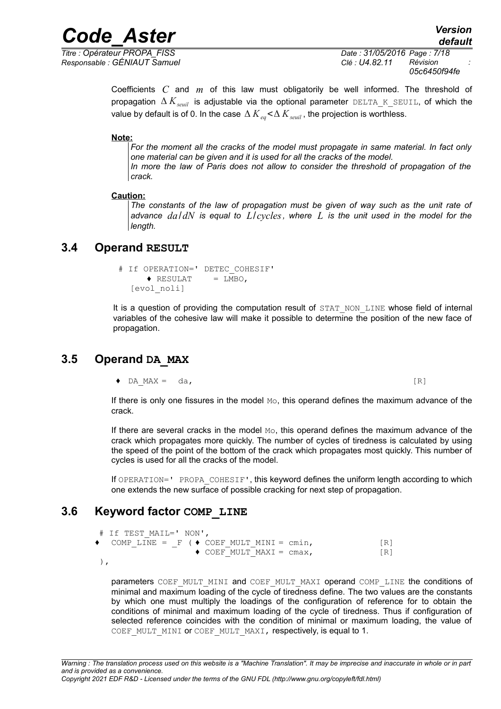*Responsable : GÉNIAUT Samuel Clé : U4.82.11 Révision :*

*Titre : Opérateur PROPA\_FISS Date : 31/05/2016 Page : 7/18 05c6450f94fe*

> Coefficients *C* and *m* of this law must obligatorily be well informed. The threshold of propagation  $\Delta K_{seuil}$  is adjustable via the optional parameter DELTA K SEUIL, of which the value by default is of 0. In the case  $\Delta$   $K$   $_{eq}$  <  $\Delta$   $K$   $_{seuil}$  , the projection is worthless.

**Note:**

*For the moment all the cracks of the model must propagate in same material. In fact only one material can be given and it is used for all the cracks of the model. In more the law of Paris does not allow to consider the threshold of propagation of the crack.*

#### **Caution:**

*The constants of the law of propagation must be given of way such as the unit rate of advance da*/*dN is equal to L*/*cycles, where L is the unit used in the model for the length.*

#### **3.4 Operand RESULT**

```
 # If OPERATION=' DETEC_COHESIF'
      \triangleleft RESULAT = LMBO,
  [evol_noli]
```
It is a question of providing the computation result of STAT\_NON\_LINE whose field of internal variables of the cohesive law will make it possible to determine the position of the new face of propagation.

#### **3.5 Operand DA\_MAX**

 $\bullet$  DA\_MAX = da, [R]

If there is only one fissures in the model Mo, this operand defines the maximum advance of the crack.

If there are several cracks in the model  $M_{\odot}$ , this operand defines the maximum advance of the crack which propagates more quickly. The number of cycles of tiredness is calculated by using the speed of the point of the bottom of the crack which propagates most quickly. This number of cycles is used for all the cracks of the model.

If OPERATION=' PROPA COHESIF', this keyword defines the uniform length according to which one extends the new surface of possible cracking for next step of propagation.

## **3.6 Keyword factor COMP\_LINE**

```
# If TEST_MAIL=' NON',
\bullet COMP LINE = F (\bullet COEF MULT MINI = cmin, [R]
                  \bullet COEF MULT MAXI = cmax, [R]
```
),

parameters COEF\_MULT\_MINI and COEF\_MULT\_MAXI operand COMP\_LINE the conditions of minimal and maximum loading of the cycle of tiredness define. The two values are the constants by which one must multiply the loadings of the configuration of reference for to obtain the conditions of minimal and maximum loading of the cycle of tiredness. Thus if configuration of selected reference coincides with the condition of minimal or maximum loading, the value of COEF MULT MINI OF COEF MULT MAXI, respectively, is equal to 1.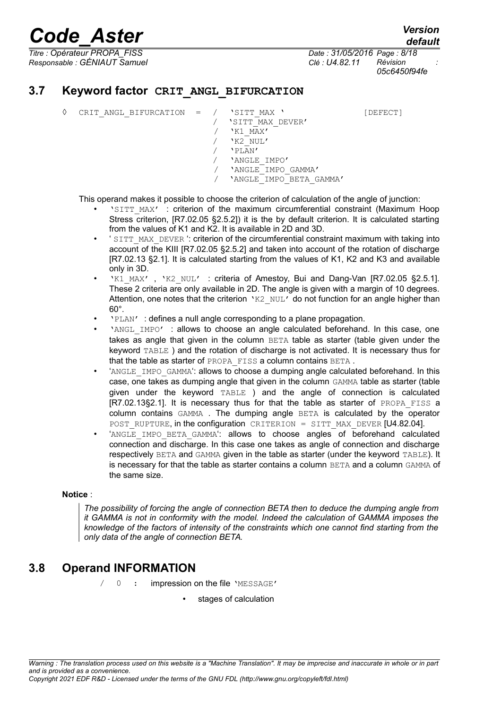*Responsable : GÉNIAUT Samuel Clé : U4.82.11 Révision :*

*default Titre : Opérateur PROPA\_FISS Date : 31/05/2016 Page : 8/18 05c6450f94fe*

### **3.7 Keyword factor CRIT\_ANGL\_BIFURCATION**

◊ CRIT\_ANGL\_BIFURCATION = / 'SITT\_MAX ' [DEFECT]

/ 'SITT\_MAX\_DEVER' / 'K1\_MAX' / 'K2\_NUL' / 'PLAN' / 'ANGLE\_IMPO' / 'ANGLE\_IMPO\_GAMMA' / 'ANGLE\_IMPO\_BETA\_GAMMA'

This operand makes it possible to choose the criterion of calculation of the angle of junction:

- 'SITT\_MAX' : criterion of the maximum circumferential constraint (Maximum Hoop Stress criterion, [R7.02.05 §2.5.2]) it is the by default criterion. It is calculated starting from the values of K1 and K2. It is available in 2D and 3D.
- ' SITT\_MAX\_DEVER ': criterion of the circumferential constraint maximum with taking into account of the KIII [R7.02.05 §2.5.2] and taken into account of the rotation of discharge [R7.02.13 §2.1]. It is calculated starting from the values of K1, K2 and K3 and available only in 3D.
- 'K1\_MAX', 'K2\_NUL' : criteria of Amestoy, Bui and Dang-Van [R7.02.05 §2.5.1]. These 2 criteria are only available in 2D. The angle is given with a margin of 10 degrees. Attention, one notes that the criterion 'K2 NUL' do not function for an angle higher than 60°.
- 'PLAN' : defines a null angle corresponding to a plane propagation.
- 'ANGL IMPO' : allows to choose an angle calculated beforehand. In this case, one takes as angle that given in the column  $BETA$  table as starter (table given under the keyword TABLE ) and the rotation of discharge is not activated. It is necessary thus for that the table as starter of PROPA FISS a column contains BETA.
- 'ANGLE IMPO GAMMA': allows to choose a dumping angle calculated beforehand. In this case, one takes as dumping angle that given in the column GAMMA table as starter (table given under the keyword TABLE ) and the angle of connection is calculated [R7.02.13§2.1]. It is necessary thus for that the table as starter of PROPA FISS a column contains GAMMA . The dumping angle BETA is calculated by the operator POST\_RUPTURE, in the configuration CRITERION = SITT\_MAX\_DEVER [U4.82.04].
- 'ANGLE IMPO BETA GAMMA': allows to choose angles of beforehand calculated connection and discharge. In this case one takes as angle of connection and discharge respectively BETA and GAMMA given in the table as starter (under the keyword TABLE). It is necessary for that the table as starter contains a column BETA and a column GAMMA of the same size.

#### **Notice** :

*The possibility of forcing the angle of connection BETA then to deduce the dumping angle from it GAMMA is not in conformity with the model. Indeed the calculation of GAMMA imposes the knowledge of the factors of intensity of the constraints which one cannot find starting from the only data of the angle of connection BETA.*

## **3.8 Operand INFORMATION**

/ 0 : impression on the file 'MESSAGE'

stages of calculation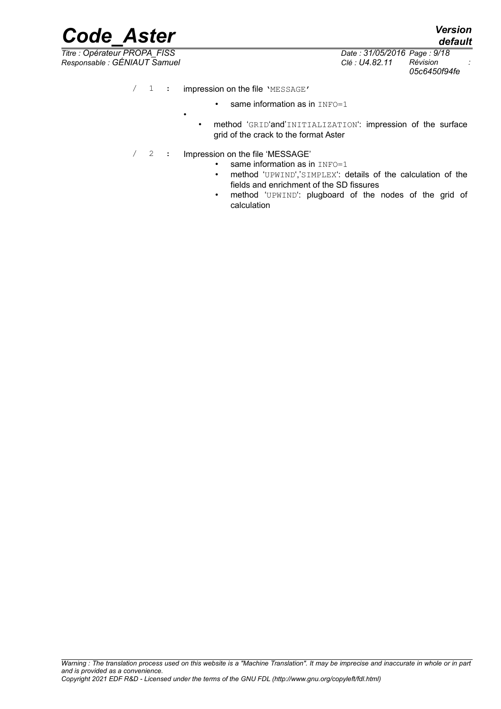*Responsable : GÉNIAUT Samuel Clé : U4.82.11 Révision :*

*Titre : Opérateur PROPA\_FISS Date : 31/05/2016 Page : 9/18 05c6450f94fe*

*default*

/ 1 : impression on the file 'MESSAGE'

•

- same information as in INFO=1
- method 'GRID'and'INITIALIZATION': impression of the surface grid of the crack to the format Aster
- / 2 : Impression on the file 'MESSAGE'
	- $\cdot$  same information as in  $INFO=1$
	- method 'UPWIND','SIMPLEX': details of the calculation of the fields and enrichment of the SD fissures
	- method 'UPWIND': plugboard of the nodes of the grid of calculation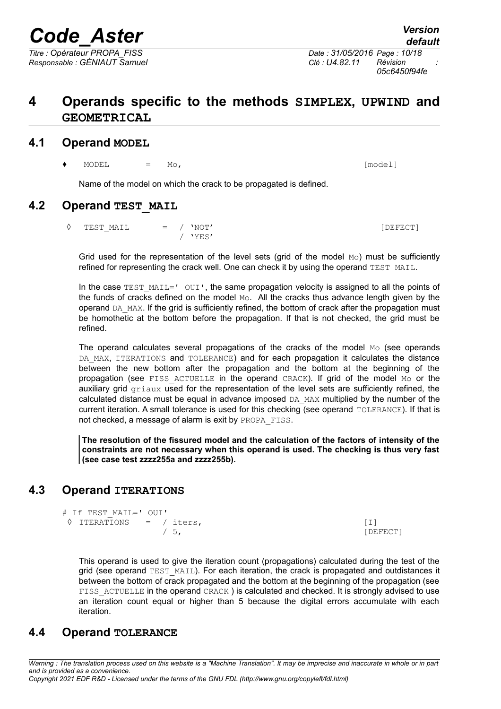## **4 Operands specific to the methods SIMPLEX, UPWIND and GEOMETRICAL**

#### **4.1 Operand MODEL**

**♦** MODEL = Mo, [model]

Name of the model on which the crack to be propagated is defined.

#### **4.2 Operand TEST\_MAIL**

 $\Diamond$  TEST MAIL  $=$  / 'NOT'  $[DEFect]$ / 'YES'

Grid used for the representation of the level sets (grid of the model  $MO$ ) must be sufficiently refined for representing the crack well. One can check it by using the operand TEST\_MAIL.

In the case TEST  $MAIL='$  OUI', the same propagation velocity is assigned to all the points of the funds of cracks defined on the model  $Mo$ . All the cracks thus advance length given by the operand DA\_MAX. If the grid is sufficiently refined, the bottom of crack after the propagation must be homothetic at the bottom before the propagation. If that is not checked, the grid must be refined.

The operand calculates several propagations of the cracks of the model  $_{\text{Mo}}$  (see operands DA MAX, ITERATIONS and TOLERANCE) and for each propagation it calculates the distance between the new bottom after the propagation and the bottom at the beginning of the propagation (see FISS\_ACTUELLE in the operand CRACK). If grid of the model Mo or the auxiliary grid griaux used for the representation of the level sets are sufficiently refined, the calculated distance must be equal in advance imposed DA\_MAX multiplied by the number of the current iteration. A small tolerance is used for this checking (see operand TOLERANCE). If that is not checked, a message of alarm is exit by PROPA\_FISS.

**The resolution of the fissured model and the calculation of the factors of intensity of the constraints are not necessary when this operand is used. The checking is thus very fast (see case test zzzz255a and zzzz255b).**

## **4.3 Operand ITERATIONS**

```
# If TEST_MAIL=' OUI'
\Diamond ITERATIONS = / iters, [1]/ 5, [DEFECT]
```
This operand is used to give the iteration count (propagations) calculated during the test of the grid (see operand TEST\_MAIL). For each iteration, the crack is propagated and outdistances it between the bottom of crack propagated and the bottom at the beginning of the propagation (see FISS ACTUELLE in the operand CRACK ) is calculated and checked. It is strongly advised to use an iteration count equal or higher than 5 because the digital errors accumulate with each iteration.

#### **4.4 Operand TOLERANCE**

*Warning : The translation process used on this website is a "Machine Translation". It may be imprecise and inaccurate in whole or in part and is provided as a convenience. Copyright 2021 EDF R&D - Licensed under the terms of the GNU FDL (http://www.gnu.org/copyleft/fdl.html)*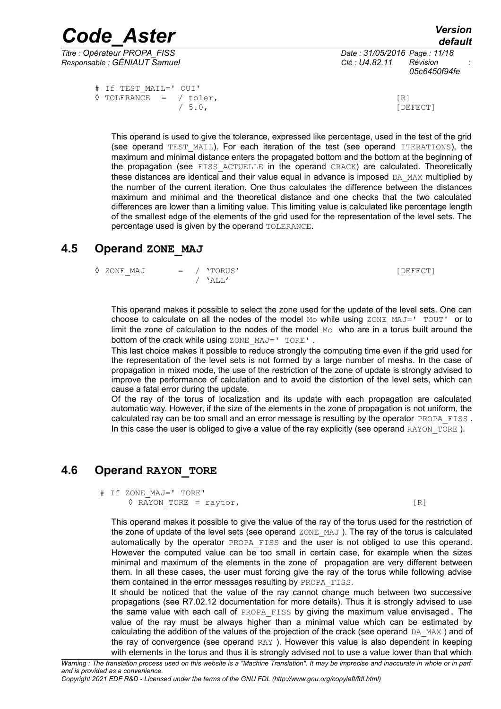*Code\_Aster Version Titre : Opérateur PROPA\_FISS Date : 31/05/2016 Page : 11/18*

*Responsable : GÉNIAUT Samuel Clé : U4.82.11 Révision :*

*05c6450f94fe*

```
# If TEST_MAIL=' OUI'
\sqrt{5.0} TOLERANCE = / toler, [R]
```
[DEFECT]

This operand is used to give the tolerance, expressed like percentage, used in the test of the grid (see operand TEST\_MAIL). For each iteration of the test (see operand ITERATIONS), the maximum and minimal distance enters the propagated bottom and the bottom at the beginning of the propagation (see FISS ACTUELLE in the operand CRACK) are calculated. Theoretically these distances are identical and their value equal in advance is imposed DA\_MAX multiplied by the number of the current iteration. One thus calculates the difference between the distances maximum and minimal and the theoretical distance and one checks that the two calculated differences are lower than a limiting value. This limiting value is calculated like percentage length of the smallest edge of the elements of the grid used for the representation of the level sets. The percentage used is given by the operand TOLERANCE.

## **4.5 Operand ZONE\_MAJ**

```
◊ ZONE_MAJ = / 'TORUS' [DEFECT] 
          / 'ALL'
```
This operand makes it possible to select the zone used for the update of the level sets. One can choose to calculate on all the nodes of the model Mo while using  $ZONE$  MAJ='  $TOUT'$  or to limit the zone of calculation to the nodes of the model  $_{\text{Mo}}$  who are in a torus built around the bottom of the crack while using ZONE MAJ=' TORE'.

This last choice makes it possible to reduce strongly the computing time even if the grid used for the representation of the level sets is not formed by a large number of meshs. In the case of propagation in mixed mode, the use of the restriction of the zone of update is strongly advised to improve the performance of calculation and to avoid the distortion of the level sets, which can cause a fatal error during the update.

Of the ray of the torus of localization and its update with each propagation are calculated automatic way. However, if the size of the elements in the zone of propagation is not uniform, the calculated ray can be too small and an error message is resulting by the operator PROPA FISS. In this case the user is obliged to give a value of the ray explicitly (see operand RAYON\_TORE ).

## **4.6 Operand RAYON\_TORE**

```
# If ZONE_MAJ=' TORE'
   \Diamond RAYON TORE = raytor, [R]
```
This operand makes it possible to give the value of the ray of the torus used for the restriction of the zone of update of the level sets (see operand  $ZONE$  MAJ). The ray of the torus is calculated automatically by the operator PROPA FISS and the user is not obliged to use this operand. However the computed value can be too small in certain case, for example when the sizes minimal and maximum of the elements in the zone of propagation are very different between them. In all these cases, the user must forcing give the ray of the torus while following advise them contained in the error messages resulting by PROPA\_FISS.

It should be noticed that the value of the ray cannot change much between two successive propagations (see R7.02.12 documentation for more details). Thus it is strongly advised to use the same value with each call of PROPA FISS by giving the maximum value envisaged. The value of the ray must be always higher than a minimal value which can be estimated by calculating the addition of the values of the projection of the crack (see operand  $DA$  MAX) and of the ray of convergence (see operand RAY ). However this value is also dependent in keeping with elements in the torus and thus it is strongly advised not to use a value lower than that which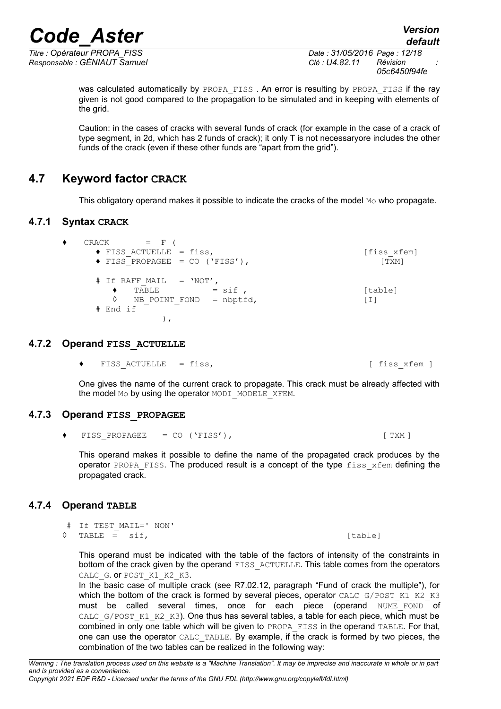*Titre : Opérateur PROPA\_FISS Date : 31/05/2016 Page : 12/18 Responsable : GÉNIAUT Samuel Clé : U4.82.11 Révision :*

*05c6450f94fe*

was calculated automatically by PROPA\_FISS. An error is resulting by PROPA\_FISS if the ray given is not good compared to the propagation to be simulated and in keeping with elements of the grid.

Caution: in the cases of cracks with several funds of crack (for example in the case of a crack of type segment, in 2d, which has 2 funds of crack); it only T is not necessaryore includes the other funds of the crack (even if these other funds are "apart from the grid").

## **4.7 Keyword factor CRACK**

This obligatory operand makes it possible to indicate the cracks of the model  $Mo$  who propagate.

### **4.7.1 Syntax CRACK**

 $\bullet$  CRACK = F (  $\blacklozenge$  FISS ACTUELLE = fiss,  $[f$ iss xfem]  $\blacklozenge$  FISS PROPAGEE = CO ('FISS'), [TXM] # If RAFF MAIL =  $'NOT'$ ,  $\begin{array}{lll} \text{\large $\bullet$} & \text{TABLE} & = \text{sif} \text{ ,} & \text{[table]} \ \text{\large $\Diamond$} & \text{NB POINT FOND} & = \text{nbptfd.} & \text{[I]} \end{array}$  $NB$  POINT FOND = nbptfd,  $[1]$ # End if ),

#### **4.7.2 Operand FISS\_ACTUELLE**

<span id="page-11-1"></span>◆ FISS ACTUELLE = fiss,  $[$  fiss xfem  $]$ 

One gives the name of the current crack to propagate. This crack must be already affected with the model Mo by using the operator MODI\_MODELE\_XFEM.

#### **4.7.3 Operand FISS\_PROPAGEE**

 $\blacklozenge$  FISS PROPAGEE = CO ('FISS'), [ TXM ]

This operand makes it possible to define the name of the propagated crack produces by the operator PROPA FISS. The produced result is a concept of the type fiss xfem defining the propagated crack.

#### **4.7.4 Operand TABLE**

- <span id="page-11-0"></span># If TEST\_MAIL=' NON'
- **◊** TABLE = sif, [table]

This operand must be indicated with the table of the factors of intensity of the constraints in bottom of the crack given by the operand FISS ACTUELLE. This table comes from the operators CALC\_G. OF POST\_K1\_K2\_K3.

In the basic case of multiple crack (see R7.02.12, paragraph "Fund of crack the multiple"), for which the bottom of the crack is formed by several pieces, operator CALC\_G/POST\_K1\_K2\_K3 must be called several times, once for each piece (operand NUME\_FOND of CALC\_G/POST\_K1\_K2\_K3). One thus has several tables, a table for each piece, which must be combined in only one table which will be given to PROPA\_FISS in the operand TABLE. For that, one can use the operator CALC\_TABLE. By example, if the crack is formed by two pieces, the combination of the two tables can be realized in the following way: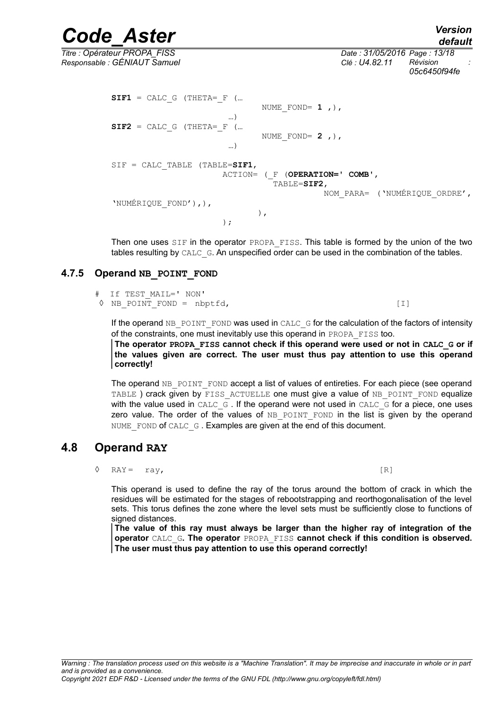*default*

*Titre : Opérateur PROPA\_FISS Date : 31/05/2016 Page : 13/18 Responsable : GÉNIAUT Samuel Clé : U4.82.11 Révision : 05c6450f94fe*

> $SIF1 = CALC G (THETA = F (...$  NUME\_FOND= **1** ,), …)  $SIF2 = CALC G (THETA = F (...$  NUME\_FOND= **2** ,), …) SIF = CALC TABLE (TABLE=SIF1, ACTION= (\_F (**OPERATION=' COMB'**, TABLE=**SIF2**, NOM\_PARA= ('NUMÉRIQUE\_ORDRE', 'NUMÉRIQUE\_FOND'),),  $\left( \begin{array}{c} 1 \end{array} \right)$ , )  $\mathbf{r}$

> Then one uses SIF in the operator PROPA\_FISS. This table is formed by the union of the two tables resulting by CALC G. An unspecified order can be used in the combination of the tables.

#### **4.7.5 Operand NB\_POINT\_FOND**

| # If TEST MAIL=' NON'              |                   |
|------------------------------------|-------------------|
| $\Diamond$ NB POINT FOND = nbptfd, | $\lceil 1 \rceil$ |

If the operand  $NB$  POINT FOND was used in CALC G for the calculation of the factors of intensity of the constraints, one must inevitably use this operand in PROPA\_FISS too.

**The operator PROPA\_FISS cannot check if this operand were used or not in CALC\_G or if the values given are correct. The user must thus pay attention to use this operand correctly!**

The operand NB\_POINT\_FOND accept a list of values of entireties. For each piece (see operand TABLE ) crack given by FISS ACTUELLE one must give a value of NB POINT FOND equalize with the value used in CALC\_G. If the operand were not used in CALC\_G for a piece, one uses zero value. The order of the values of NB POINT FOND in the list is given by the operand NUME FOND of CALC G. Examples are given at the end of this document.

## **4.8 Operand RAY**

 $\Diamond$  RAY = ray,  $[R]$ 

This operand is used to define the ray of the torus around the bottom of crack in which the residues will be estimated for the stages of rebootstrapping and reorthogonalisation of the level sets. This torus defines the zone where the level sets must be sufficiently close to functions of signed distances.

**The value of this ray must always be larger than the higher ray of integration of the operator** CALC\_G**. The operator** PROPA\_FISS **cannot check if this condition is observed. The user must thus pay attention to use this operand correctly!**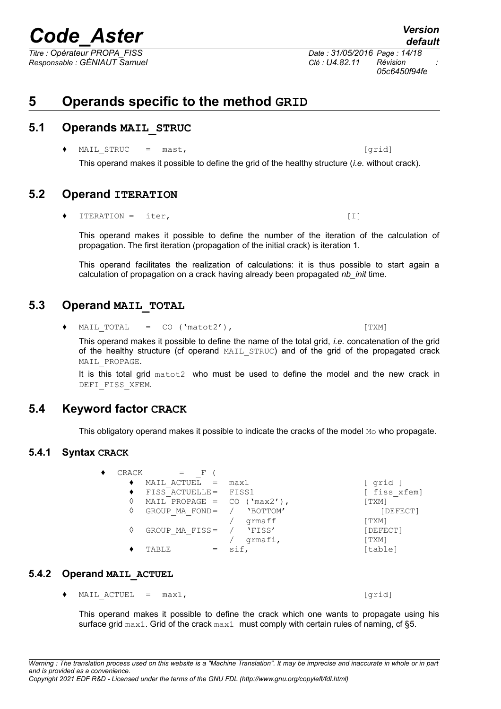*Titre : Opérateur PROPA\_FISS Date : 31/05/2016 Page : 14/18 Responsable : GÉNIAUT Samuel Clé : U4.82.11 Révision :*

## **5 Operands specific to the method GRID**

## **5.1 Operands MAIL\_STRUC**

◆ MAIL STRUC = mast,  $\Box$  [grid]

This operand makes it possible to define the grid of the healthy structure (*i.e.* without crack).

## **5.2 Operand ITERATION**

 $ITERATION = iter,$  [I]

This operand makes it possible to define the number of the iteration of the calculation of propagation. The first iteration (propagation of the initial crack) is iteration 1.

This operand facilitates the realization of calculations: it is thus possible to start again a calculation of propagation on a crack having already been propagated *nb\_init* time.

## **5.3 Operand MAIL\_TOTAL**

<span id="page-13-0"></span> $\bullet$  MAIL TOTAL = CO ('matot2'), [TXM]

 $\bullet$  CRACK = F (

This operand makes it possible to define the name of the total grid, *i.e.* concatenation of the grid of the healthy structure (cf operand MAIL\_STRUC) and of the grid of the propagated crack MAIL PROPAGE.

It is this total grid matot2 who must be used to define the model and the new crack in DEFI\_FISS\_XFEM.

## **5.4 Keyword factor CRACK**

This obligatory operand makes it possible to indicate the cracks of the model  $M \circ M$  who propagate.

#### **5.4.1 Syntax CRACK**

|   | MAIL ACTUEL =                 | max1     | grid ]                |
|---|-------------------------------|----------|-----------------------|
|   | FISS ACTUELLE= FISS1          |          | [ fiss xfem]          |
| ◊ | MAIL PROPAGE = $CO$ ('max2'), |          | [TXM]                 |
| ♦ | GROUP MA FOND=                | 'BOTTOM' | [DEFECT]              |
|   |                               | qrmaff   | [TXM]                 |
| ♦ | GROUP MA FISS=                | 'FISS'   | [DEFECT]              |
|   |                               | qrmafi,  | $\lceil$ TXM $\rceil$ |
|   | TABLE                         | sif,     | [table]               |
|   |                               |          |                       |
|   |                               |          |                       |

#### **5.4.2 Operand MAIL\_ACTUEL**

 $\bullet$  MAIL ACTUEL =  $max1$ ,  $[grid]$ 

This operand makes it possible to define the crack which one wants to propagate using his surface grid max1. Grid of the crack max1 must comply with certain rules of naming, cf [§5.](#page-4-0)

*default 05c6450f94fe*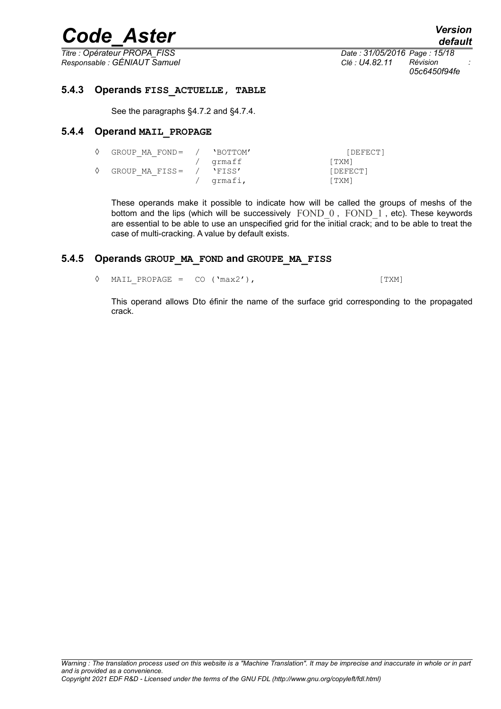*Responsable : GÉNIAUT Samuel Clé : U4.82.11 Révision :*

*Titre : Opérateur PROPA\_FISS Date : 31/05/2016 Page : 15/18 05c6450f94fe*

#### **5.4.3 Operands FISS\_ACTUELLE, TABLE**

See the paragraphs [§4.7.2](#page-11-1) and [§4.7.4.](#page-11-0)

#### **5.4.4 Operand MAIL\_PROPAGE**

<span id="page-14-0"></span>

| GROUP MA FOND= | 'BOTTOM' | [DEFECT] |
|----------------|----------|----------|
|                | grmaff   | [TXM]    |
| GROUP MA FISS= | 'FISS'   | [DEFECT] |
|                | qrmafi,  | [TXM]    |

These operands make it possible to indicate how will be called the groups of meshs of the bottom and the lips (which will be successively FOND\_0, FOND\_1, etc). These keywords are essential to be able to use an unspecified grid for the initial crack; and to be able to treat the case of multi-cracking. A value by default exists.

#### **5.4.5 Operands GROUP\_MA\_FOND and GROUPE\_MA\_FISS**

<span id="page-14-1"></span> $\Diamond$  MAIL PROPAGE = CO ('max2'), [TXM]

This operand allows Dto éfinir the name of the surface grid corresponding to the propagated crack.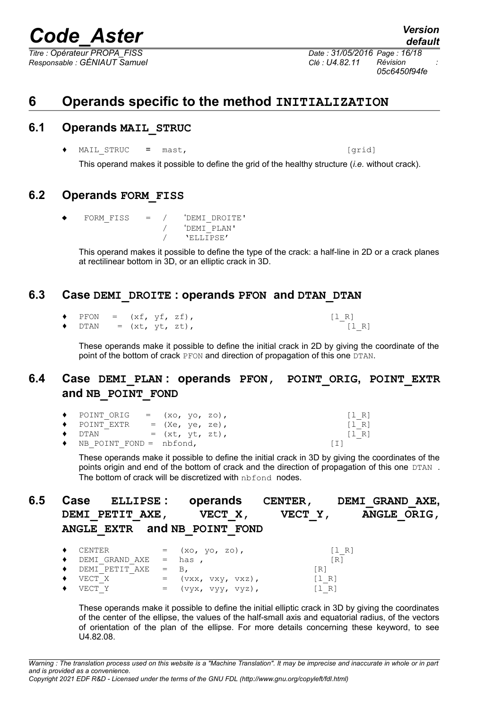*Responsable : GÉNIAUT Samuel Clé : U4.82.11 Révision :*

*Titre : Opérateur PROPA\_FISS Date : 31/05/2016 Page : 16/18 05c6450f94fe*

## **6 Operands specific to the method INITIALIZATION**

### **6.1 Operands MAIL\_STRUC**

♦ MAIL\_STRUC = mast, [grid]

This operand makes it possible to define the grid of the healthy structure (*i.e.* without crack).

## **6.2 Operands FORM\_FISS**

 $FORM FISS = / 'DEMI DROITE'$ / 'DEMI\_PLAN' / 'ELLIPSE'

This operand makes it possible to define the type of the crack: a half-line in 2D or a crack planes at rectilinear bottom in 3D, or an elliptic crack in 3D.

### **6.3 Case DEMI\_DROITE : operands PFON and DTAN\_DTAN**

 $\begin{array}{rcl}\n\text{PFON} & = & (\text{xf}, \text{yf}, \text{zf}), \\
\text{DTAN} & = & (\text{xt}, \text{yt}, \text{zt}),\n\end{array} \n\qquad \qquad \begin{array}{rcl}\n[1_R] \\
[1_R]\n\end{array}$  $DTAN = (xt, yt, zt),$ 

These operands make it possible to define the initial crack in 2D by giving the coordinate of the point of the bottom of crack PFON and direction of propagation of this one DTAN.

## **6.4 Case DEMI\_PLAN : operands PFON, POINT\_ORIG, POINT\_EXTR and NB\_POINT\_FOND**

| $\bullet$ POINT ORIG = $(x_0, y_0, z_0)$ ,  |                 |  |                   | $ I \ R $                             |
|---------------------------------------------|-----------------|--|-------------------|---------------------------------------|
| $\blacklozenge$ POINT EXTR                  | = (Xe, ye, ze), |  |                   | $\begin{bmatrix} 1 & R \end{bmatrix}$ |
| $\blacklozenge$ dtan<br>$=$ $(xt, yt, zt),$ |                 |  |                   | $ I \ R $                             |
| $\bullet$ NB POINT FOND = nbfond,           |                 |  | $\lceil 1 \rceil$ |                                       |

These operands make it possible to define the initial crack in 3D by giving the coordinates of the points origin and end of the bottom of crack and the direction of propagation of this one DTAN. The bottom of crack will be discretized with nbfond nodes.

| 6.5 | DEMI PETIT AXE,              | Case ELLIPSE: operands CENTER, DEMI GRAND AXE,<br>VECT X,<br>ANGLE EXTR and NB POINT FOND | VECT Y, | ANGLE ORIG, |
|-----|------------------------------|-------------------------------------------------------------------------------------------|---------|-------------|
|     | CENTER<br>٠                  | $=$ $(xo, yo, zo),$                                                                       | $[1 R]$ |             |
|     | DEMI GRAND AXE $=$ has,<br>٠ |                                                                                           | [R]     |             |
|     | DEMI PETIT AXE<br>٠          | $=$ B.                                                                                    | [R]     |             |
|     | VECT X<br>٠                  | $=$ $(\forall x x, \forall x y, \forall x z),$                                            | [1 R]   |             |
|     | VECT Y                       | $=$ $(vyx, vyy, vyz),$                                                                    | [1 R]   |             |

These operands make it possible to define the initial elliptic crack in 3D by giving the coordinates of the center of the ellipse, the values of the half-small axis and equatorial radius, of the vectors of orientation of the plan of the ellipse. For more details concerning these keyword, to see U4.82.08.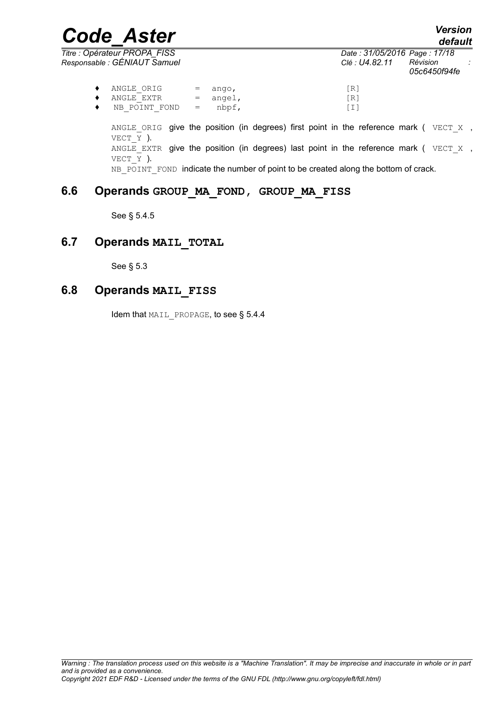*Titre : Opérateur PROPA\_FISS Date : 31/05/2016 Page : 17/18 Responsable : GÉNIAUT Samuel Clé : U4.82.11 Révision :*

*05c6450f94fe*

| $\lceil R \rceil$ |
|-------------------|
|                   |
| [R]               |
| $\lceil 1 \rceil$ |
|                   |

ANGLE ORIG give the position (in degrees) first point in the reference mark ( $VECT X$ , VECT  $\overline{Y}$  ). ANGLE EXTR give the position (in degrees) last point in the reference mark ( $VECT X$ , VECT Y ). NB\_POINT\_FOND\_indicate the number of point to be created along the bottom of crack.

## **6.6 Operands GROUP\_MA\_FOND, GROUP\_MA\_FISS**

See § [5.4.5](#page-14-1)

## **6.7 Operands MAIL\_TOTAL**

See § [5.3](#page-13-0)

## **6.8 Operands MAIL\_FISS**

Idem that MAIL PROPAGE, to see § [5.4.4](#page-14-0)